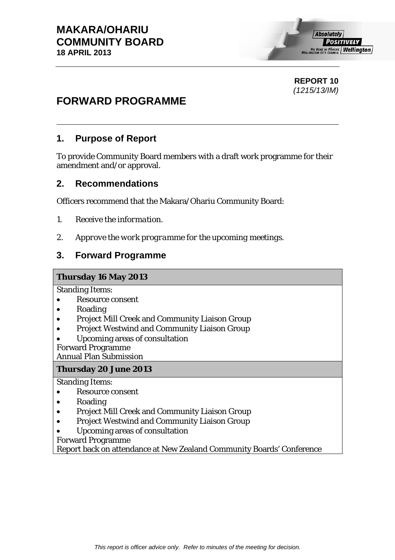# **REPORT 10**  *(1215/13/IM)*

# **FORWARD PROGRAMME**

# **1. Purpose of Report**

To provide Community Board members with a draft work programme for their amendment and/or approval.

# **2. Recommendations**

Officers recommend that the Makara/Ohariu Community Board:

- *1. Receive the information.*
- *2. Approve the work programme for the upcoming meetings.*

# **3. Forward Programme**

#### **Thursday 16 May 2013**

Standing Items:

- Resource consent
- Roading
- Project Mill Creek and Community Liaison Group
- Project Westwind and Community Liaison Group
- Upcoming areas of consultation

Forward Programme

Annual Plan Submission

#### **Thursday 20 June 2013**

Standing Items:

- Resource consent
- Roading
- Project Mill Creek and Community Liaison Group
- Project Westwind and Community Liaison Group
- Upcoming areas of consultation

Forward Programme

Report back on attendance at New Zealand Community Boards' Conference